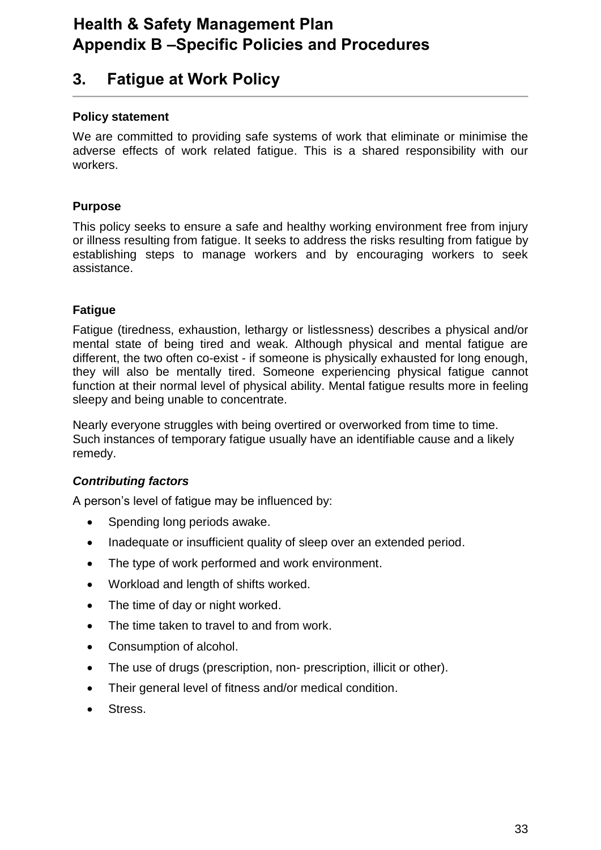# **Health & Safety Management Plan Appendix B –Specific Policies and Procedures**

# **3. Fatigue at Work Policy**

# **Policy statement**

We are committed to providing safe systems of work that eliminate or minimise the adverse effects of work related fatigue. This is a shared responsibility with our workers.

# **Purpose**

This policy seeks to ensure a safe and healthy working environment free from injury or illness resulting from fatigue. It seeks to address the risks resulting from fatigue by establishing steps to manage workers and by encouraging workers to seek assistance.

# **Fatigue**

Fatigue (tiredness, exhaustion, lethargy or listlessness) describes a physical and/or mental state of being tired and weak. Although physical and mental fatigue are different, the two often co-exist - if someone is physically exhausted for long enough, they will also be mentally tired. Someone experiencing physical fatigue cannot function at their normal level of physical ability. Mental fatigue results more in feeling sleepy and being unable to concentrate.

Nearly everyone struggles with being overtired or overworked from time to time. Such instances of temporary fatigue usually have an identifiable cause and a likely remedy.

### *Contributing factors*

A person's level of fatigue may be influenced by:

- Spending long periods awake.
- Inadequate or insufficient quality of sleep over an extended period.
- The type of work performed and work environment.
- Workload and length of shifts worked.
- The time of day or night worked.
- The time taken to travel to and from work.
- Consumption of alcohol.
- The use of drugs (prescription, non- prescription, illicit or other).
- Their general level of fitness and/or medical condition.
- Stress.